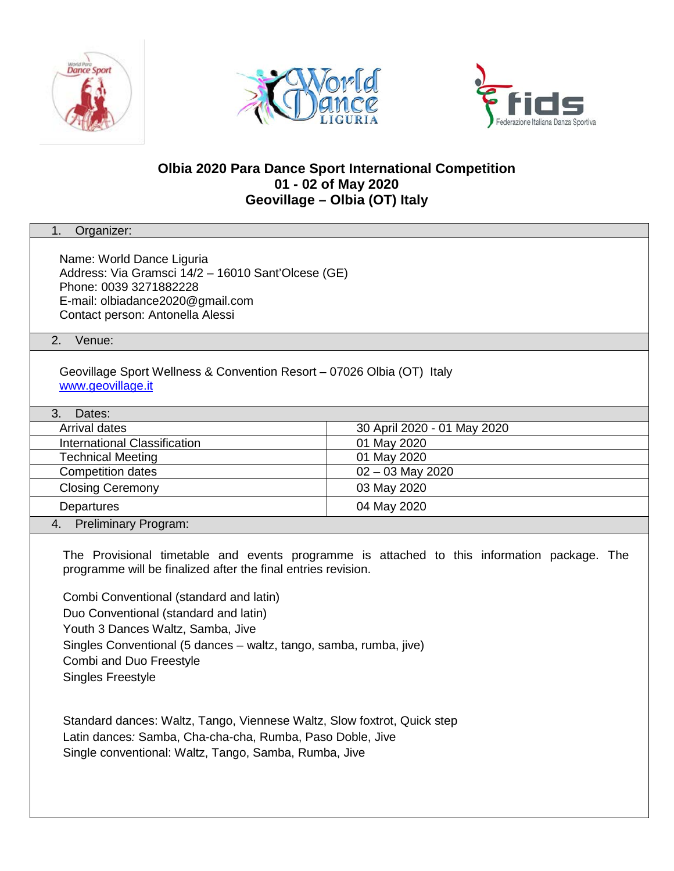





# **Olbia 2020 Para Dance Sport International Competition 01 - 02 of May 2020 Geovillage – Olbia (OT) Italy**

| 1.<br>Organizer:                                                                                                                                                                                                                                                                                                                                                                                                   |                             |  |
|--------------------------------------------------------------------------------------------------------------------------------------------------------------------------------------------------------------------------------------------------------------------------------------------------------------------------------------------------------------------------------------------------------------------|-----------------------------|--|
| Name: World Dance Liguria<br>Address: Via Gramsci 14/2 - 16010 Sant'Olcese (GE)<br>Phone: 0039 3271882228<br>E-mail: olbiadance2020@gmail.com<br>Contact person: Antonella Alessi                                                                                                                                                                                                                                  |                             |  |
| Venue:<br>2.                                                                                                                                                                                                                                                                                                                                                                                                       |                             |  |
| Geovillage Sport Wellness & Convention Resort - 07026 Olbia (OT) Italy<br>www.geovillage.it                                                                                                                                                                                                                                                                                                                        |                             |  |
| 3.<br>Dates:                                                                                                                                                                                                                                                                                                                                                                                                       |                             |  |
| Arrival dates                                                                                                                                                                                                                                                                                                                                                                                                      | 30 April 2020 - 01 May 2020 |  |
| International Classification                                                                                                                                                                                                                                                                                                                                                                                       | 01 May 2020                 |  |
| <b>Technical Meeting</b>                                                                                                                                                                                                                                                                                                                                                                                           | 01 May 2020                 |  |
| <b>Competition dates</b>                                                                                                                                                                                                                                                                                                                                                                                           | 02 - 03 May 2020            |  |
| <b>Closing Ceremony</b>                                                                                                                                                                                                                                                                                                                                                                                            | 03 May 2020                 |  |
| Departures                                                                                                                                                                                                                                                                                                                                                                                                         | 04 May 2020                 |  |
| Preliminary Program:<br>4.                                                                                                                                                                                                                                                                                                                                                                                         |                             |  |
| The Provisional timetable and events programme is attached to this information package. The<br>programme will be finalized after the final entries revision.<br>Combi Conventional (standard and latin)<br>Duo Conventional (standard and latin)<br>Youth 3 Dances Waltz, Samba, Jive<br>Singles Conventional (5 dances - waltz, tango, samba, rumba, jive)<br>Combi and Duo Freestyle<br><b>Singles Freestyle</b> |                             |  |
| Standard dances: Waltz, Tango, Viennese Waltz, Slow foxtrot, Quick step<br>Latin dances: Samba, Cha-cha-cha, Rumba, Paso Doble, Jive<br>Single conventional: Waltz, Tango, Samba, Rumba, Jive                                                                                                                                                                                                                      |                             |  |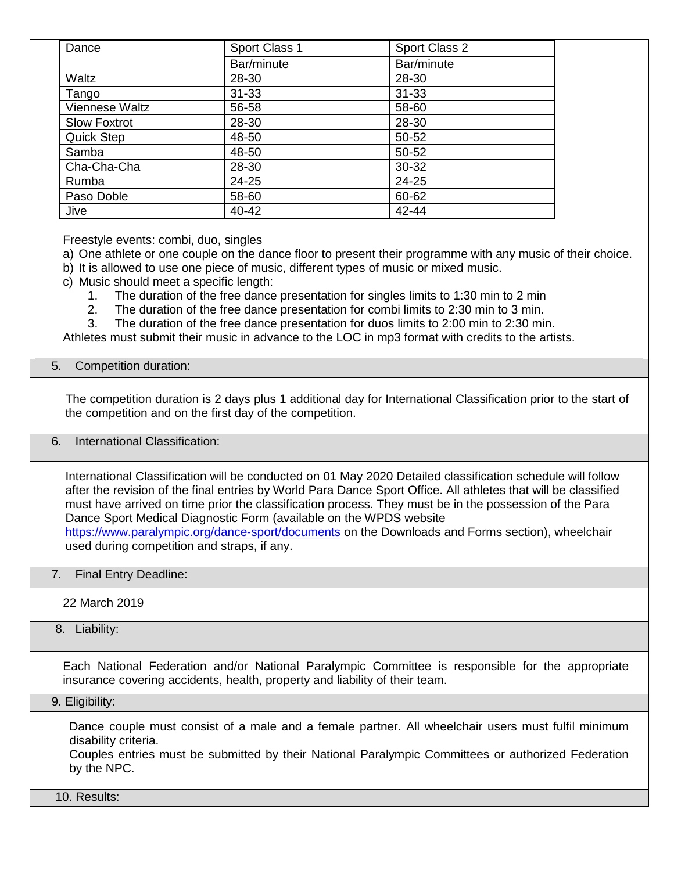| Dance                 | Sport Class 1 | Sport Class 2 |
|-----------------------|---------------|---------------|
|                       | Bar/minute    | Bar/minute    |
| Waltz                 | 28-30         | 28-30         |
| Tango                 | $31 - 33$     | $31 - 33$     |
| <b>Viennese Waltz</b> | 56-58         | 58-60         |
| <b>Slow Foxtrot</b>   | 28-30         | 28-30         |
| <b>Quick Step</b>     | 48-50         | 50-52         |
| Samba                 | 48-50         | 50-52         |
| Cha-Cha-Cha           | 28-30         | 30-32         |
| Rumba                 | 24-25         | 24-25         |
| Paso Doble            | 58-60         | 60-62         |
| Jive                  | 40-42         | 42-44         |

Freestyle events: combi, duo, singles

a) One athlete or one couple on the dance floor to present their programme with any music of their choice.

- b) It is allowed to use one piece of music, different types of music or mixed music.
- c) Music should meet a specific length:

1. The duration of the free dance presentation for singles limits to 1:30 min to 2 min

2. The duration of the free dance presentation for combi limits to 2:30 min to 3 min.

3. The duration of the free dance presentation for duos limits to 2:00 min to 2:30 min.

Athletes must submit their music in advance to the LOC in mp3 format with credits to the artists.

### 5. Competition duration:

The competition duration is 2 days plus 1 additional day for International Classification prior to the start of the competition and on the first day of the competition.

## 6. International Classification:

International Classification will be conducted on 01 May 2020 Detailed classification schedule will follow after the revision of the final entries by World Para Dance Sport Office. All athletes that will be classified must have arrived on time prior the classification process. They must be in the possession of the Para Dance Sport Medical Diagnostic Form (available on the WPDS website <https://www.paralympic.org/dance-sport/documents> on the Downloads and Forms section), wheelchair used during competition and straps, if any.

### 7. Final Entry Deadline:

22 March 2019

### 8. Liability:

Each National Federation and/or National Paralympic Committee is responsible for the appropriate insurance covering accidents, health, property and liability of their team.

#### 9. Eligibility:

Dance couple must consist of a male and a female partner. All wheelchair users must fulfil minimum disability criteria.

Couples entries must be submitted by their National Paralympic Committees or authorized Federation by the NPC.

10. Results: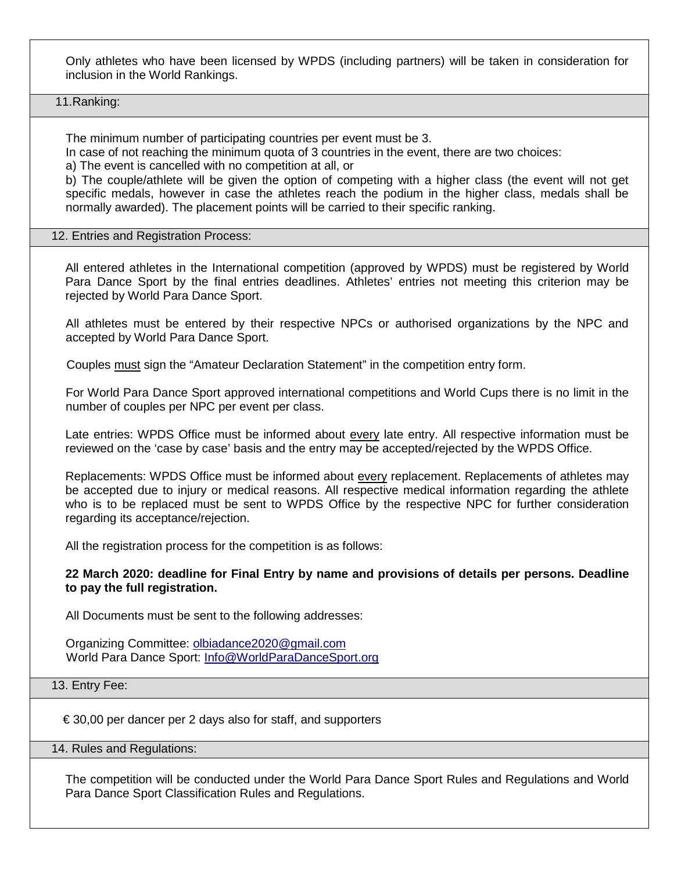Only athletes who have been licensed by WPDS (including partners) will be taken in consideration for inclusion in the World Rankings.

11.Ranking:

The minimum number of participating countries per event must be 3.

In case of not reaching the minimum quota of 3 countries in the event, there are two choices:

a) The event is cancelled with no competition at all, or

b) The couple/athlete will be given the option of competing with a higher class (the event will not get specific medals, however in case the athletes reach the podium in the higher class, medals shall be normally awarded). The placement points will be carried to their specific ranking.

#### 12. Entries and Registration Process:

All entered athletes in the International competition (approved by WPDS) must be registered by World Para Dance Sport by the final entries deadlines. Athletes' entries not meeting this criterion may be rejected by World Para Dance Sport.

All athletes must be entered by their respective NPCs or authorised organizations by the NPC and accepted by World Para Dance Sport.

Couples must sign the "Amateur Declaration Statement" in the competition entry form.

For World Para Dance Sport approved international competitions and World Cups there is no limit in the number of couples per NPC per event per class.

Late entries: WPDS Office must be informed about every late entry. All respective information must be reviewed on the 'case by case' basis and the entry may be accepted/rejected by the WPDS Office.

Replacements: WPDS Office must be informed about **every replacement. Replacements of athletes** may be accepted due to injury or medical reasons. All respective medical information regarding the athlete who is to be replaced must be sent to WPDS Office by the respective NPC for further consideration regarding its acceptance/rejection.

All the registration process for the competition is as follows:

**22 March 2020: deadline for Final Entry by name and provisions of details per persons. Deadline to pay the full registration.**

All Documents must be sent to the following addresses:

Organizing Committee: olbiadance2020@gmail.com World Para Dance Sport: Info@WorldParaDanceSport.org

## 13. Entry Fee:

€ 30,00 per dancer per 2 days also for staff, and supporters

14. Rules and Regulations:

The competition will be conducted under the World Para Dance Sport Rules and Regulations and World Para Dance Sport Classification Rules and Regulations.